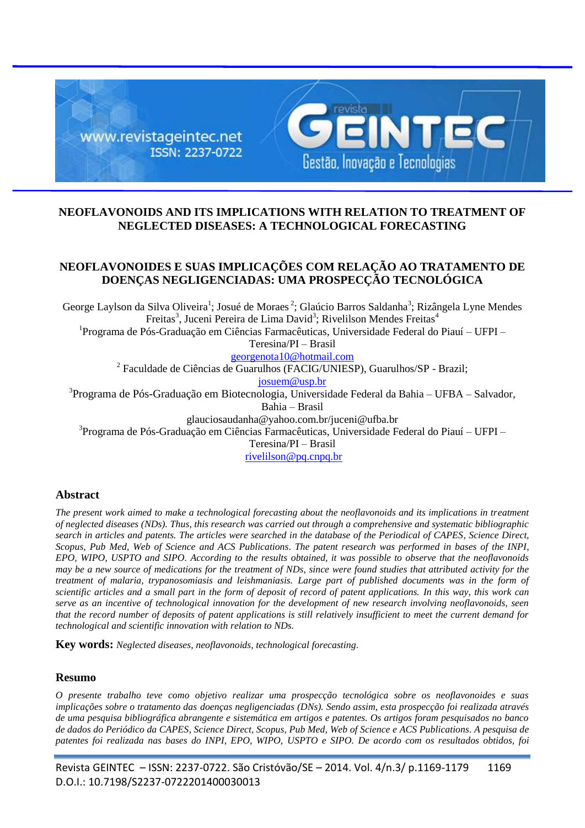

## **NEOFLAVONOIDS AND ITS IMPLICATIONS WITH RELATION TO TREATMENT OF NEGLECTED DISEASES: A TECHNOLOGICAL FORECASTING**

# **NEOFLAVONOIDES E SUAS IMPLICAÇÕES COM RELAÇÃO AO TRATAMENTO DE DOENÇAS NEGLIGENCIADAS: UMA PROSPECÇÃO TECNOLÓGICA**

George Laylson da Silva Oliveira<sup>1</sup>; Josué de Moraes<sup>2</sup>; Glaúcio Barros Saldanha<sup>3</sup>; Rizângela Lyne Mendes Freitas<sup>3</sup>, Juceni Pereira de Lima David<sup>3</sup>; Rivelilson Mendes Freitas<sup>4</sup> <sup>1</sup>Programa de Pós-Graduação em Ciências Farmacêuticas, Universidade Federal do Piauí - UFPI -Teresina/PI – Brasil georgenota10@hotmail.com <sup>2</sup> Faculdade de Ciências de Guarulhos (FACIG/UNIESP), Guarulhos/SP - Brazil; [josuem@usp.br](mailto:josuem@usp.br) <sup>3</sup>Programa de Pós-Graduação em Biotecnologia, Universidade Federal da Bahia - UFBA - Salvador,

Bahia – Brasil

glauciosaudanha@yahoo.com.br/juceni@ufba.br

<sup>3</sup>Programa de Pós-Graduação em Ciências Farmacêuticas, Universidade Federal do Piauí – UFPI –

Teresina/PI – Brasil

[rivelilson@pq.cnpq.br](mailto:rivelilson@pq.cnpq.br)

#### **Abstract**

*The present work aimed to make a technological forecasting about the neoflavonoids and its implications in treatment of neglected diseases (NDs). Thus, this research was carried out through a comprehensive and systematic bibliographic search in articles and patents. The articles were searched in the database of the Periodical of CAPES, Science Direct, Scopus, [Pub Med,](http://pubs.acs.org/) Web of Science and [ACS Publications](http://pubs.acs.org/)*. *The patent research was performed in bases of the INPI, EPO, WIPO, USPTO and SIPO. According to the results obtained, it was possible to observe that the neoflavonoids may be a new source of medications for the treatment of NDs, since were found studies that attributed activity for the treatment of malaria, trypanosomiasis and leishmaniasis. Large part of published documents was in the form of scientific articles and a small part in the form of deposit of record of patent applications. In this way, this work can serve as an incentive of technological innovation for the development of new research involving neoflavonoids, seen that the record number of deposits of patent applications is still relatively insufficient to meet the current demand for technological and scientific innovation with relation to NDs.*

**Key words:** *Neglected diseases, neoflavonoids, technological forecasting*.

#### **Resumo**

*O presente trabalho teve como objetivo realizar uma prospecção tecnológica sobre os neoflavonoides e suas implicações sobre o tratamento das doenças negligenciadas (DNs). Sendo assim, esta prospecção foi realizada através de uma pesquisa bibliográfica abrangente e sistemática em artigos e patentes. Os artigos foram pesquisados no banco de dados do Periódico da CAPES, Science Direct, Scopus, [Pub Med,](http://pubs.acs.org/) Web of Science e [ACS Publications](http://pubs.acs.org/)*. *A pesquisa de patentes foi realizada nas bases do INPI, EPO, WIPO, USPTO e SIPO. De acordo com os resultados obtidos, foi*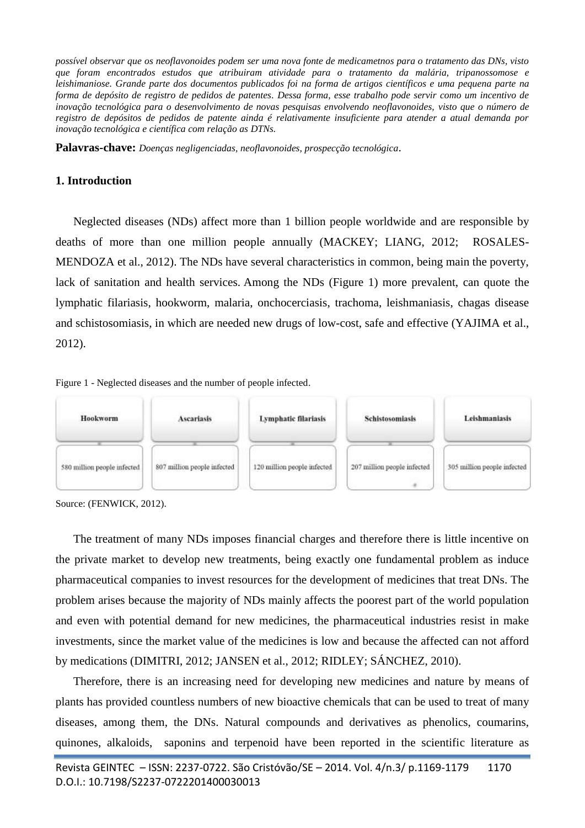*possível observar que os neoflavonoides podem ser uma nova fonte de medicametnos para o tratamento das DNs, visto que foram encontrados estudos que atribuiram atividade para o tratamento da malária, tripanossomose e leishimaniose. Grande parte dos documentos publicados foi na forma de artigos científicos e uma pequena parte na forma de depósito de registro de pedidos de patentes. Dessa forma, esse trabalho pode servir como um incentivo de inovação tecnológica para o desenvolvimento de novas pesquisas envolvendo neoflavonoides, visto que o número de registro de depósitos de pedidos de patente ainda é relativamente insuficiente para atender a atual demanda por inovação tecnológica e científica com relação as DTNs.*

**Palavras-chave:** *Doenças negligenciadas, neoflavonoides, prospecção tecnológica*.

## **1. Introduction**

Neglected diseases (NDs) affect more than 1 billion people worldwide and are responsible by deaths of more than one million people annually [\(MACKEY; LIANG, 2012;](#page-9-0) [ROSALES-](#page-9-1)[MENDOZA et al., 2012\)](#page-9-1). The NDs have several characteristics in common, being main the poverty, lack of sanitation and health services. Among the NDs (Figure 1) more prevalent, can quote the lymphatic filariasis, hookworm, malaria, onchocerciasis, trachoma, leishmaniasis, chagas disease and schistosomiasis, in which are needed new drugs of low-cost, safe and effective [\(YAJIMA et al.,](#page-9-2)  [2012\)](#page-9-2).





Source: [\(FENWICK, 2012\)](#page-8-0).

The treatment of many NDs imposes financial charges and therefore there is little incentive on the private market to develop new treatments, being exactly one fundamental problem as induce pharmaceutical companies to invest resources for the development of medicines that treat DNs. The problem arises because the majority of NDs mainly affects the poorest part of the world population and even with potential demand for new medicines, the pharmaceutical industries resist in make investments, since the market value of the medicines is low and because the affected can not afford by medications [\(DIMITRI, 2012;](#page-8-1) [JANSEN et al., 2012;](#page-9-3) [RIDLEY; SÁNCHEZ,](#page-9-4) 2010).

Therefore, there is an increasing need for developing new medicines and nature by means of plants has provided countless numbers of new bioactive chemicals that can be used to treat of many diseases, among them, the DNs. Natural compounds and derivatives as phenolics, coumarins, quinones, alkaloids, saponins and terpenoid have been reported in the scientific literature as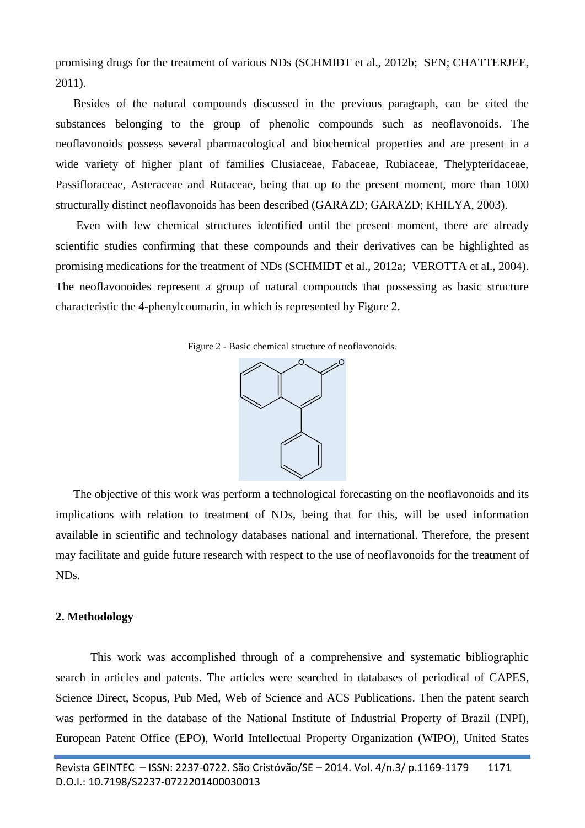promising drugs for the treatment of various NDs [\(SCHMIDT et al., 2012b;](#page-9-5) [SEN; CHATTERJEE,](#page-9-6)  [2011\)](#page-9-6).

Besides of the natural compounds discussed in the previous paragraph, can be cited the substances belonging to the group of phenolic compounds such as neoflavonoids. The neoflavonoids possess several pharmacological and biochemical properties and are present in a wide variety of higher plant of families Clusiaceae, Fabaceae, Rubiaceae, Thelypteridaceae, Passifloraceae, Asteraceae and Rutaceae, being that up to the present moment, more than 1000 structurally distinct neoflavonoids has been described [\(GARAZD; GARAZD; KHILYA, 2003\)](#page-9-7).

Even with few chemical structures identified until the present moment, there are already scientific studies confirming that these compounds and their derivatives can be highlighted as promising medications for the treatment of NDs [\(SCHMIDT et al., 2012a;](#page-8-2) [VEROTTA et al., 2004\)](#page-9-8). The neoflavonoides represent a group of natural compounds that possessing as basic structure characteristic the 4-phenylcoumarin, in which is represented by Figure 2.

Figure 2 - Basic chemical structure of neoflavonoids.



The objective of this work was perform a technological forecasting on the neoflavonoids and its implications with relation to treatment of NDs, being that for this, will be used information available in scientific and technology databases national and international. Therefore, the present may facilitate and guide future research with respect to the use of neoflavonoids for the treatment of NDs.

#### **2. Methodology**

This work was accomplished through of a comprehensive and systematic bibliographic search in articles and patents. The articles were searched in databases of periodical of CAPES*,*  Science Direct, Scopus*,* [Pub Med,](http://pubs.acs.org/) Web of Science and [ACS Publications.](http://pubs.acs.org/) Then the patent search was performed in the database of the National Institute of Industrial Property of Brazil (INPI), European Patent Office (EPO), World Intellectual Property Organization (WIPO), United States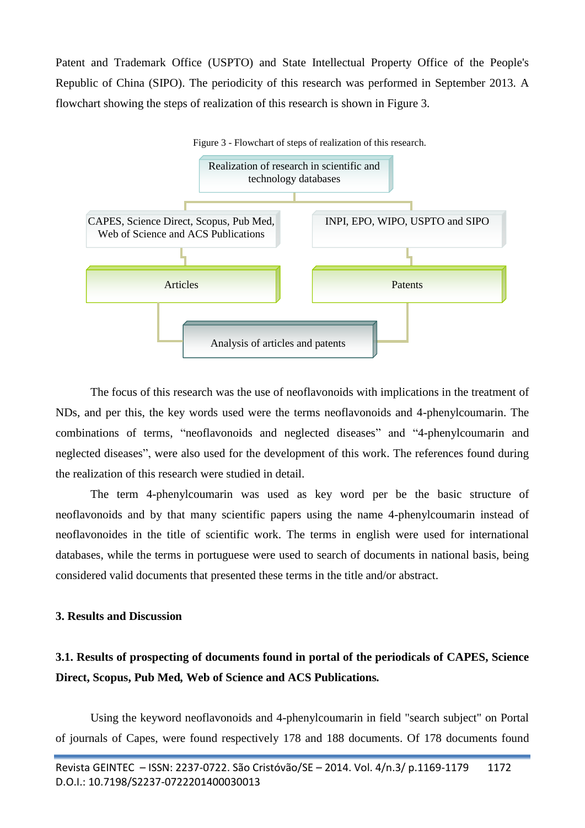Patent and Trademark Office (USPTO) and State Intellectual Property Office of the People's Republic of China (SIPO). The periodicity of this research was performed in September 2013. A flowchart showing the steps of realization of this research is shown in Figure 3.



The focus of this research was the use of neoflavonoids with implications in the treatment of NDs, and per this, the key words used were the terms neoflavonoids and 4-phenylcoumarin. The combinations of terms, "neoflavonoids and neglected diseases" and "4-phenylcoumarin and neglected diseases", were also used for the development of this work. The references found during the realization of this research were studied in detail.

The term 4-phenylcoumarin was used as key word per be the basic structure of neoflavonoids and by that many scientific papers using the name 4-phenylcoumarin instead of neoflavonoides in the title of scientific work. The terms in english were used for international databases, while the terms in portuguese were used to search of documents in national basis, being considered valid documents that presented these terms in the title and/or abstract.

# **3. Results and Discussion**

# **3.1. Results of prospecting of documents found in portal of the periodicals of CAPES, Science Direct, Scopus, [Pub Med](http://pubs.acs.org/)***,* **Web of Science and [ACS Publications](http://pubs.acs.org/)***.*

Using the keyword neoflavonoids and 4-phenylcoumarin in field "search subject" on Portal of journals of Capes, were found respectively 178 and 188 documents. Of 178 documents found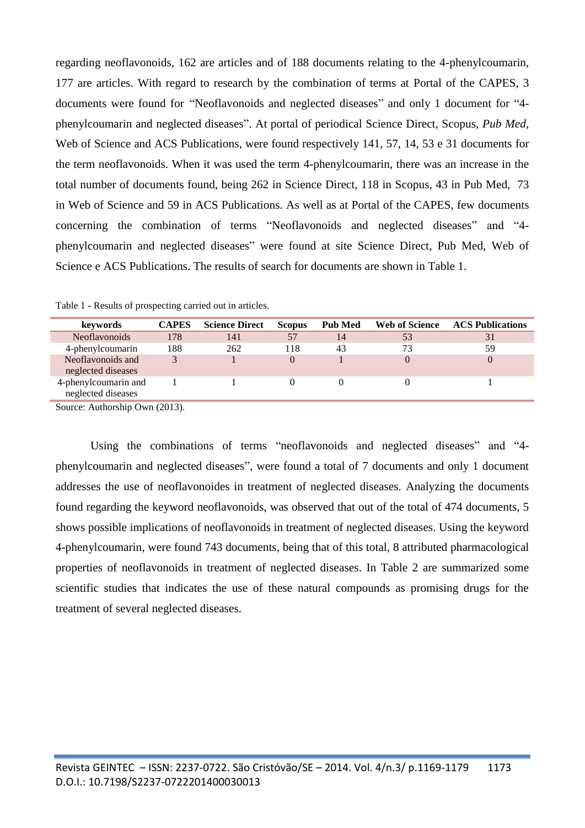regarding neoflavonoids, 162 are articles and of 188 documents relating to the 4-phenylcoumarin, 177 are articles. With regard to research by the combination of terms at Portal of the CAPES, 3 documents were found for "Neoflavonoids and neglected diseases" and only 1 document for "4 phenylcoumarin and neglected diseases". At portal of periodical Science Direct, Scopus, *[Pub Med,](http://pubs.acs.org/)*  Web of Science and [ACS Publications,](http://pubs.acs.org/) were found respectively 141, 57, 14, 53 e 31 documents for the term neoflavonoids. When it was used the term 4-phenylcoumarin, there was an increase in the total number of documents found, being 262 in Science Direct, 118 in Scopus, 43 in [Pub Med](http://pubs.acs.org/)*,* 73 in Web of Science and 59 in [ACS Publications](http://pubs.acs.org/)*.* As well as at Portal of the CAPES, few documents concerning the combination of terms "Neoflavonoids and neglected diseases" and "4 phenylcoumarin and neglected diseases" were found at site Science Direct, [Pub Med,](http://pubs.acs.org/) Web of Science e [ACS Publications.](http://pubs.acs.org/) The results of search for documents are shown in Table 1.

| keywords                                   | CAPES | <b>Science Direct</b> | <b>Scopus</b> | <b>Pub Med</b> | <b>Web of Science</b> | <b>ACS Publications</b> |
|--------------------------------------------|-------|-----------------------|---------------|----------------|-----------------------|-------------------------|
| Neoflavonoids                              | 178   | 141                   | 57            | 14             | 53                    | 31                      |
| 4-phenylcoumarin                           | 188   | 262                   | 118           | 43             | 73                    | 59                      |
| Neoflavonoids and<br>neglected diseases    |       |                       |               |                |                       | 0                       |
| 4-phenylcoumarin and<br>neglected diseases |       |                       |               |                |                       |                         |

Table 1 **-** Results of prospecting carried out in articles.

Source: Authorship Own (2013).

Using the combinations of terms "neoflavonoids and neglected diseases" and "4 phenylcoumarin and neglected diseases", were found a total of 7 documents and only 1 document addresses the use of neoflavonoides in treatment of neglected diseases. Analyzing the documents found regarding the keyword neoflavonoids, was observed that out of the total of 474 documents, 5 shows possible implications of neoflavonoids in treatment of neglected diseases. Using the keyword 4-phenylcoumarin, were found 743 documents, being that of this total, 8 attributed pharmacological properties of neoflavonoids in treatment of neglected diseases. In Table 2 are summarized some scientific studies that indicates the use of these natural compounds as promising drugs for the treatment of several neglected diseases.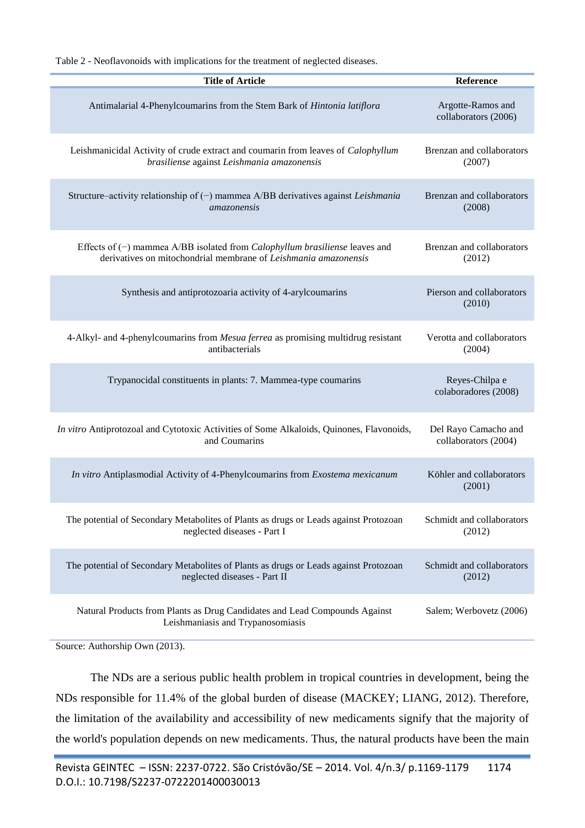Table 2 - Neoflavonoids with implications for the treatment of neglected diseases.

| <b>Title of Article</b>                                                                                         | Reference                                 |
|-----------------------------------------------------------------------------------------------------------------|-------------------------------------------|
| Antimalarial 4-Phenylcoumarins from the Stem Bark of Hintonia latiflora                                         | Argotte-Ramos and<br>collaborators (2006) |
| Leishmanicidal Activity of crude extract and coumarin from leaves of Calophyllum                                | Brenzan and collaborators                 |
| brasiliense against Leishmania amazonensis                                                                      | (2007)                                    |
| Structure-activity relationship of (-) mammea A/BB derivatives against Leishmania                               | Brenzan and collaborators                 |
| <i>amazonensis</i>                                                                                              | (2008)                                    |
| Effects of $(-)$ mammea A/BB isolated from <i>Calophyllum brasiliense</i> leaves and                            | Brenzan and collaborators                 |
| derivatives on mitochondrial membrane of Leishmania amazonensis                                                 | (2012)                                    |
| Synthesis and antiprotozoaria activity of 4-arylcoumarins                                                       | Pierson and collaborators<br>(2010)       |
| 4-Alkyl- and 4-phenylcoumarins from Mesua ferrea as promising multidrug resistant                               | Verotta and collaborators                 |
| antibacterials                                                                                                  | (2004)                                    |
| Trypanocidal constituents in plants: 7. Mammea-type coumarins                                                   | Reyes-Chilpa e<br>colaboradores (2008)    |
| In vitro Antiprotozoal and Cytotoxic Activities of Some Alkaloids, Quinones, Flavonoids,                        | Del Rayo Camacho and                      |
| and Coumarins                                                                                                   | collaborators (2004)                      |
| In vitro Antiplasmodial Activity of 4-Phenylcoumarins from Exostema mexicanum                                   | Köhler and collaborators<br>(2001)        |
| The potential of Secondary Metabolites of Plants as drugs or Leads against Protozoan                            | Schmidt and collaborators                 |
| neglected diseases - Part I                                                                                     | (2012)                                    |
| The potential of Secondary Metabolites of Plants as drugs or Leads against Protozoan                            | Schmidt and collaborators                 |
| neglected diseases - Part II                                                                                    | (2012)                                    |
| Natural Products from Plants as Drug Candidates and Lead Compounds Against<br>Leishmaniasis and Trypanosomiasis | Salem; Werbovetz (2006)                   |

Source: Authorship Own (2013).

The NDs are a serious public health problem in tropical countries in development, being the NDs responsible for 11.4% of the global burden of disease [\(MACKEY; LIANG, 2012\)](#page-9-0). Therefore, the limitation of the availability and accessibility of new medicaments signify that the majority of the world's population depends on new medicaments. Thus, the natural products have been the main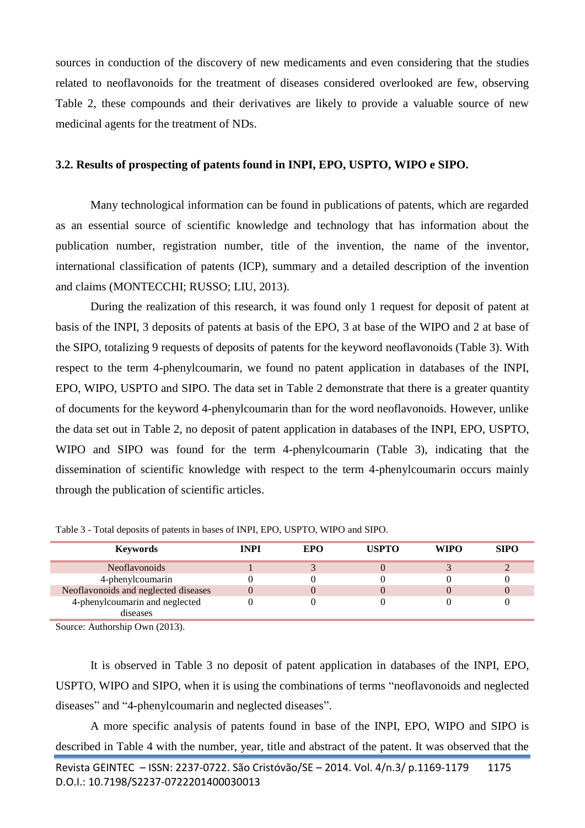sources in conduction of the discovery of new medicaments and even considering that the studies related to neoflavonoids for the treatment of diseases considered overlooked are few, observing Table 2, these compounds and their derivatives are likely to provide a valuable source of new medicinal agents for the treatment of NDs.

## **3.2. Results of prospecting of patents found in INPI, EPO, USPTO, WIPO e SIPO.**

Many technological information can be found in publications of patents, which are regarded as an essential source of scientific knowledge and technology that has information about the publication number, registration number, title of the invention, the name of the inventor, international classification of patents (ICP), summary and a detailed description of the invention and claims [\(MONTECCHI; RUSSO; LIU, 2013\)](#page-10-0).

During the realization of this research, it was found only 1 request for deposit of patent at basis of the INPI, 3 deposits of patents at basis of the EPO, 3 at base of the WIPO and 2 at base of the SIPO, totalizing 9 requests of deposits of patents for the keyword neoflavonoids (Table 3). With respect to the term 4-phenylcoumarin, we found no patent application in databases of the INPI, EPO, WIPO, USPTO and SIPO. The data set in Table 2 demonstrate that there is a greater quantity of documents for the keyword 4-phenylcoumarin than for the word neoflavonoids. However, unlike the data set out in Table 2, no deposit of patent application in databases of the INPI, EPO, USPTO, WIPO and SIPO was found for the term 4-phenylcoumarin (Table 3), indicating that the dissemination of scientific knowledge with respect to the term 4-phenylcoumarin occurs mainly through the publication of scientific articles.

| <b>Keywords</b>                      | <b>INPI</b> | EPO | <b>USPTO</b> | <b>WIPO</b> | <b>SIPO</b> |
|--------------------------------------|-------------|-----|--------------|-------------|-------------|
| Neoflavonoids                        |             |     |              |             |             |
| 4-phenylcoumarin                     |             |     |              |             |             |
| Neoflavonoids and neglected diseases |             |     |              |             |             |
| 4-phenylcoumarin and neglected       |             |     |              |             |             |
| diseases                             |             |     |              |             |             |

Table 3 - Total deposits of patents in bases of INPI, EPO, USPTO, WIPO and SIPO.

Source: Authorship Own (2013).

It is observed in Table 3 no deposit of patent application in databases of the INPI, EPO, USPTO, WIPO and SIPO, when it is using the combinations of terms "neoflavonoids and neglected diseases" and "4-phenylcoumarin and neglected diseases".

A more specific analysis of patents found in base of the INPI, EPO, WIPO and SIPO is described in Table 4 with the number, year, title and abstract of the patent. It was observed that the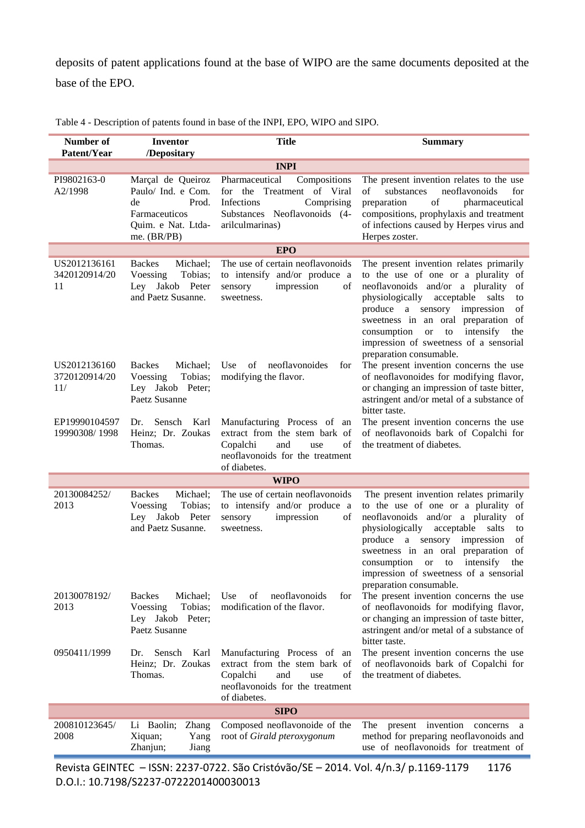deposits of patent applications found at the base of WIPO are the same documents deposited at the base of the EPO.

| Number of<br>Patent/Year             | Inventor<br>/Depositary                                                                                      | <b>Title</b>                                                                                                                                    | <b>Summary</b>                                                                                                                                                                                                                                                                                                                                                          |  |  |
|--------------------------------------|--------------------------------------------------------------------------------------------------------------|-------------------------------------------------------------------------------------------------------------------------------------------------|-------------------------------------------------------------------------------------------------------------------------------------------------------------------------------------------------------------------------------------------------------------------------------------------------------------------------------------------------------------------------|--|--|
|                                      | <b>INPI</b>                                                                                                  |                                                                                                                                                 |                                                                                                                                                                                                                                                                                                                                                                         |  |  |
| PI9802163-0<br>A2/1998               | Marçal de Queiroz<br>Paulo/ Ind. e Com.<br>Prod.<br>de<br>Farmaceuticos<br>Quim. e Nat. Ltda-<br>me. (BR/PB) | Pharmaceutical<br>Compositions<br>for the Treatment of Viral<br>Infections<br>Comprising<br>Substances Neoflavonoids (4-<br>arilculmarinas)     | The present invention relates to the use<br>substances<br>neoflavonoids<br>of<br>for<br>preparation<br>of<br>pharmaceutical<br>compositions, prophylaxis and treatment<br>of infections caused by Herpes virus and<br>Herpes zoster.                                                                                                                                    |  |  |
|                                      |                                                                                                              | <b>EPO</b>                                                                                                                                      |                                                                                                                                                                                                                                                                                                                                                                         |  |  |
| US2012136161<br>3420120914/20<br>11  | <b>Backes</b><br>Michael;<br>Voessing<br>Tobias;<br>Ley Jakob Peter<br>and Paetz Susanne.                    | The use of certain neoflavonoids<br>to intensify and/or produce a<br>impression<br>sensory<br>of<br>sweetness.                                  | The present invention relates primarily<br>to the use of one or a plurality of<br>neoflavonoids and/or a plurality of<br>physiologically acceptable salts<br>to<br>produce a sensory impression<br>of<br>sweetness in an oral preparation of<br>consumption<br>intensify<br><b>or</b><br>to<br>the<br>impression of sweetness of a sensorial<br>preparation consumable. |  |  |
| US2012136160<br>3720120914/20<br>11/ | <b>Backes</b><br>Michael;<br>Voessing<br>Tobias;<br>Ley Jakob Peter;<br>Paetz Susanne                        | neoflavonoides<br>Use<br>of<br>for<br>modifying the flavor.                                                                                     | The present invention concerns the use<br>of neoflavonoides for modifying flavor,<br>or changing an impression of taste bitter,<br>astringent and/or metal of a substance of<br>bitter taste.                                                                                                                                                                           |  |  |
| EP19990104597<br>19990308/1998       | Sensch Karl<br>Dr.<br>Heinz; Dr. Zoukas<br>Thomas.                                                           | Manufacturing Process of an<br>extract from the stem bark of<br>of<br>Copalchi<br>and<br>use<br>neoflavonoids for the treatment<br>of diabetes. | The present invention concerns the use<br>of neoflavonoids bark of Copalchi for<br>the treatment of diabetes.                                                                                                                                                                                                                                                           |  |  |
|                                      |                                                                                                              | <b>WIPO</b>                                                                                                                                     |                                                                                                                                                                                                                                                                                                                                                                         |  |  |
| 20130084252/<br>2013                 | <b>Backes</b><br>Michael;<br>Voessing<br>Tobias;<br>Ley Jakob Peter<br>and Paetz Susanne.                    | The use of certain neoflavonoids<br>to intensify and/or produce a<br>impression<br>sensory<br>of<br>sweetness.                                  | The present invention relates primarily<br>to the use of one or a plurality of<br>neoflavonoids and/or a plurality of<br>physiologically acceptable salts<br>to<br>produce a sensory impression<br>of<br>sweetness in an oral preparation of<br>intensify<br>consumption<br>to<br>the<br><b>or</b><br>impression of sweetness of a sensorial<br>preparation consumable. |  |  |
| 20130078192/<br>2013                 | <b>Backes</b><br>Michael;<br>Tobias;<br>Voessing<br>Ley Jakob Peter;<br>Paetz Susanne                        | Use<br>neoflavonoids<br>for<br>of<br>modification of the flavor.                                                                                | The present invention concerns the use<br>of neoflavonoids for modifying flavor,<br>or changing an impression of taste bitter,<br>astringent and/or metal of a substance of<br>bitter taste.                                                                                                                                                                            |  |  |
| 0950411/1999                         | Sensch<br>Karl<br>Dr.<br>Heinz; Dr. Zoukas<br>Thomas.                                                        | Manufacturing Process of an<br>extract from the stem bark of<br>Copalchi<br>of<br>and<br>use<br>neoflavonoids for the treatment<br>of diabetes. | The present invention concerns the use<br>of neoflavonoids bark of Copalchi for<br>the treatment of diabetes.                                                                                                                                                                                                                                                           |  |  |
|                                      |                                                                                                              | <b>SIPO</b>                                                                                                                                     |                                                                                                                                                                                                                                                                                                                                                                         |  |  |
| 200810123645/<br>2008                | Li Baolin;<br><b>Zhang</b><br>Xiquan;<br>Yang<br>Zhanjun;<br>Jiang                                           | Composed neoflavonoide of the<br>root of Girald pteroxygonum                                                                                    | invention<br>The<br>present<br>concerns<br>method for preparing neoflavonoids and<br>use of neoflavonoids for treatment of                                                                                                                                                                                                                                              |  |  |

Table 4 - Description of patents found in base of the INPI, EPO, WIPO and SIPO.

Revista GEINTEC – ISSN: 2237-0722. São Cristóvão/SE – 2014. Vol. 4/n.3/ p.1169-1179 1176 D.O.I.: 10.7198/S2237-0722201400030013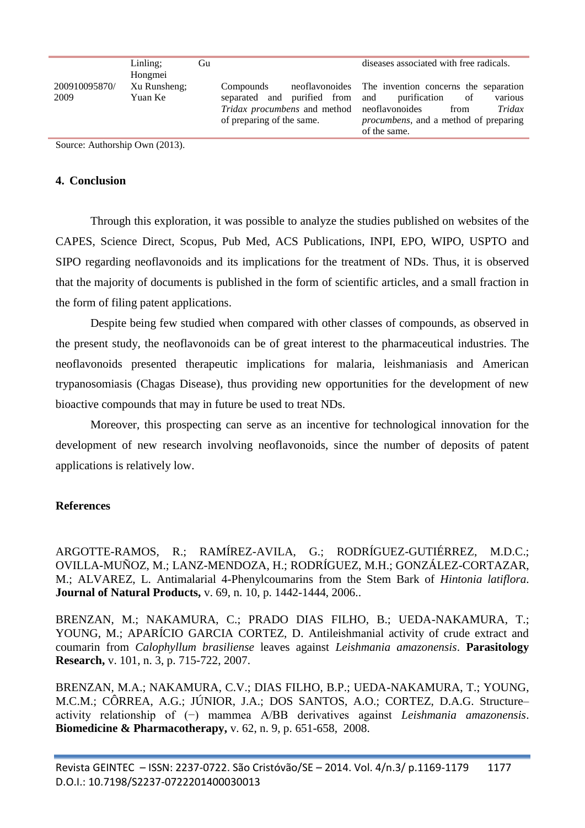| 200910095870/<br>Xu Runsheng;<br>neoflavonoides The invention concerns the separation<br>Compounds<br>2009<br>separated and purified from and<br>Yuan Ke<br>purification<br>various<br>of<br>Tridax procumbens and method neoflavonoides<br>Tridax<br>from<br>of preparing of the same.<br><i>procumbens</i> , and a method of preparing<br>of the same. | Linling;<br>Hongmei | Gu | diseases associated with free radicals. |
|----------------------------------------------------------------------------------------------------------------------------------------------------------------------------------------------------------------------------------------------------------------------------------------------------------------------------------------------------------|---------------------|----|-----------------------------------------|
|                                                                                                                                                                                                                                                                                                                                                          |                     |    |                                         |

Source: Authorship Own (2013).

#### **4. Conclusion**

Through this exploration, it was possible to analyze the studies published on websites of the CAPES, Science Direct, Scopus, [Pub Med, ACS Publications,](http://pubs.acs.org/) INPI, EPO, WIPO, USPTO and SIPO regarding neoflavonoids and its implications for the treatment of NDs. Thus, it is observed that the majority of documents is published in the form of scientific articles, and a small fraction in the form of filing patent applications.

Despite being few studied when compared with other classes of compounds, as observed in the present study, the neoflavonoids can be of great interest to the pharmaceutical industries. The neoflavonoids presented therapeutic implications for malaria, leishmaniasis and American trypanosomiasis (Chagas Disease), thus providing new opportunities for the development of new bioactive compounds that may in future be used to treat NDs.

Moreover, this prospecting can serve as an incentive for technological innovation for the development of new research involving neoflavonoids, since the number of deposits of patent applications is relatively low.

#### **References**

<span id="page-8-1"></span>ARGOTTE-RAMOS, R.; RAMÍREZ-AVILA, G.; RODRÍGUEZ-GUTIÉRREZ, M.D.C.; OVILLA-MUÑOZ, M.; LANZ-MENDOZA, H.; RODRÍGUEZ, M.H.; GONZÁLEZ-CORTAZAR, M.; ALVAREZ, L. Antimalarial 4-Phenylcoumarins from the Stem Bark of *Hintonia latiflora*. **Journal of Natural Products,** v. 69, n. 10, p. 1442-1444, 2006..

<span id="page-8-0"></span>BRENZAN, M.; NAKAMURA, C.; PRADO DIAS FILHO, B.; UEDA-NAKAMURA, T.; YOUNG, M.; APARÍCIO GARCIA CORTEZ, D. Antileishmanial activity of crude extract and coumarin from *Calophyllum brasiliense* leaves against *Leishmania amazonensis*. **Parasitology Research,** v. 101, n. 3, p. 715-722, 2007.

<span id="page-8-2"></span>BRENZAN, M.A.; NAKAMURA, C.V.; DIAS FILHO, B.P.; UEDA-NAKAMURA, T.; YOUNG, M.C.M.; CÔRREA, A.G.; JÚNIOR, J.A.; DOS SANTOS, A.O.; CORTEZ, D.A.G. Structure– activity relationship of (−) mammea A/BB derivatives against *Leishmania amazonensis*. **Biomedicine & Pharmacotherapy,** v. 62, n. 9, p. 651-658, 2008.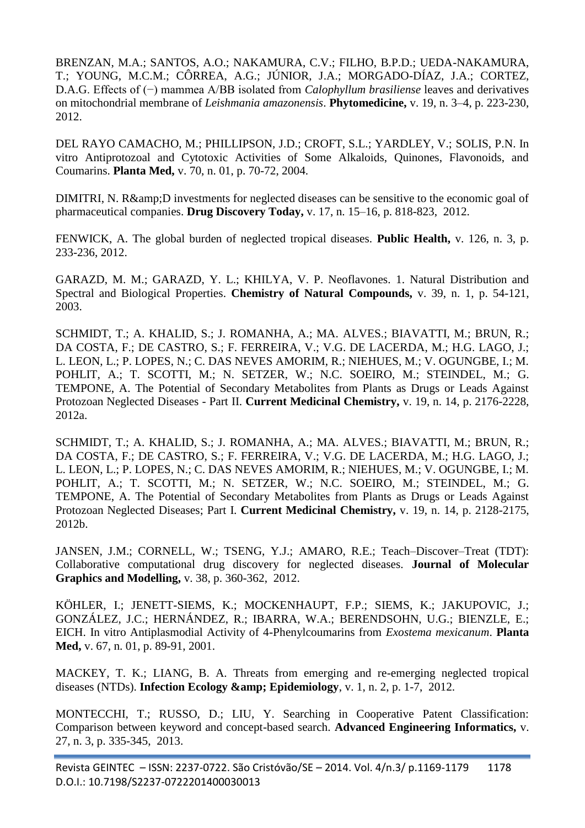<span id="page-9-5"></span>BRENZAN, M.A.; SANTOS, A.O.; NAKAMURA, C.V.; FILHO, B.P.D.; UEDA-NAKAMURA, T.; YOUNG, M.C.M.; CÔRREA, A.G.; JÚNIOR, J.A.; MORGADO-DÍAZ, J.A.; CORTEZ, D.A.G. Effects of (−) mammea A/BB isolated from *Calophyllum brasiliense* leaves and derivatives on mitochondrial membrane of *Leishmania amazonensis*. **Phytomedicine,** v. 19, n. 3–4, p. 223-230, 2012.

<span id="page-9-3"></span>DEL RAYO CAMACHO, M.; PHILLIPSON, J.D.; CROFT, S.L.; YARDLEY, V.; SOLIS, P.N. In vitro Antiprotozoal and Cytotoxic Activities of Some Alkaloids, Quinones, Flavonoids, and Coumarins. **Planta Med,** v. 70, n. 01, p. 70-72, 2004.

<span id="page-9-0"></span>DIMITRI, N. R& D investments for neglected diseases can be sensitive to the economic goal of pharmaceutical companies. **Drug Discovery Today,** v. 17, n. 15–16, p. 818-823, 2012.

FENWICK, A. The global burden of neglected tropical diseases. **Public Health,** v. 126, n. 3, p. 233-236, 2012.

<span id="page-9-4"></span>GARAZD, M. M.; GARAZD, Y. L.; KHILYA, V. P. Neoflavones. 1. Natural Distribution and Spectral and Biological Properties. **Chemistry of Natural Compounds,** v. 39, n. 1, p. 54-121, 2003.

<span id="page-9-1"></span>SCHMIDT, T.; A. KHALID, S.; J. ROMANHA, A.; MA. ALVES.; BIAVATTI, M.; BRUN, R.; DA COSTA, F.; DE CASTRO, S.; F. FERREIRA, V.; V.G. DE LACERDA, M.; H.G. LAGO, J.; L. LEON, L.; P. LOPES, N.; C. DAS NEVES AMORIM, R.; NIEHUES, M.; V. OGUNGBE, I.; M. POHLIT, A.; T. SCOTTI, M.; N. SETZER, W.; N.C. SOEIRO, M.; STEINDEL, M.; G. TEMPONE, A. The Potential of Secondary Metabolites from Plants as Drugs or Leads Against Protozoan Neglected Diseases - Part II. **Current Medicinal Chemistry,** v. 19, n. 14, p. 2176-2228, 2012a.

<span id="page-9-6"></span>SCHMIDT, T.; A. KHALID, S.; J. ROMANHA, A.; MA. ALVES.; BIAVATTI, M.; BRUN, R.; DA COSTA, F.; DE CASTRO, S.; F. FERREIRA, V.; V.G. DE LACERDA, M.; H.G. LAGO, J.; L. LEON, L.; P. LOPES, N.; C. DAS NEVES AMORIM, R.; NIEHUES, M.; V. OGUNGBE, I.; M. POHLIT, A.; T. SCOTTI, M.; N. SETZER, W.; N.C. SOEIRO, M.; STEINDEL, M.; G. TEMPONE, A. The Potential of Secondary Metabolites from Plants as Drugs or Leads Against Protozoan Neglected Diseases; Part I. **Current Medicinal Chemistry,** v. 19, n. 14, p. 2128-2175, 2012b.

<span id="page-9-8"></span>JANSEN, J.M.; CORNELL, W.; TSENG, Y.J.; AMARO, R.E.; Teach–Discover–Treat (TDT): Collaborative computational drug discovery for neglected diseases. **Journal of Molecular Graphics and Modelling,** v. 38, p. 360-362, 2012.

<span id="page-9-2"></span>KÖHLER, I.; JENETT-SIEMS, K.; MOCKENHAUPT, F.P.; SIEMS, K.; JAKUPOVIC, J.; GONZÁLEZ, J.C.; HERNÁNDEZ, R.; IBARRA, W.A.; BERENDSOHN, U.G.; BIENZLE, E.; EICH. In vitro Antiplasmodial Activity of 4-Phenylcoumarins from *Exostema mexicanum*. **Planta Med,** v. 67, n. 01, p. 89-91, 2001.

<span id="page-9-7"></span>MACKEY, T. K.; LIANG, B. A. Threats from emerging and re-emerging neglected tropical diseases (NTDs). **Infection Ecology & Epidemiology**, v. 1, n. 2, p. 1-7, 2012.

MONTECCHI, T.; RUSSO, D.; LIU, Y. Searching in Cooperative Patent Classification: Comparison between keyword and concept-based search. **Advanced Engineering Informatics,** v. 27, n. 3, p. 335-345, 2013.